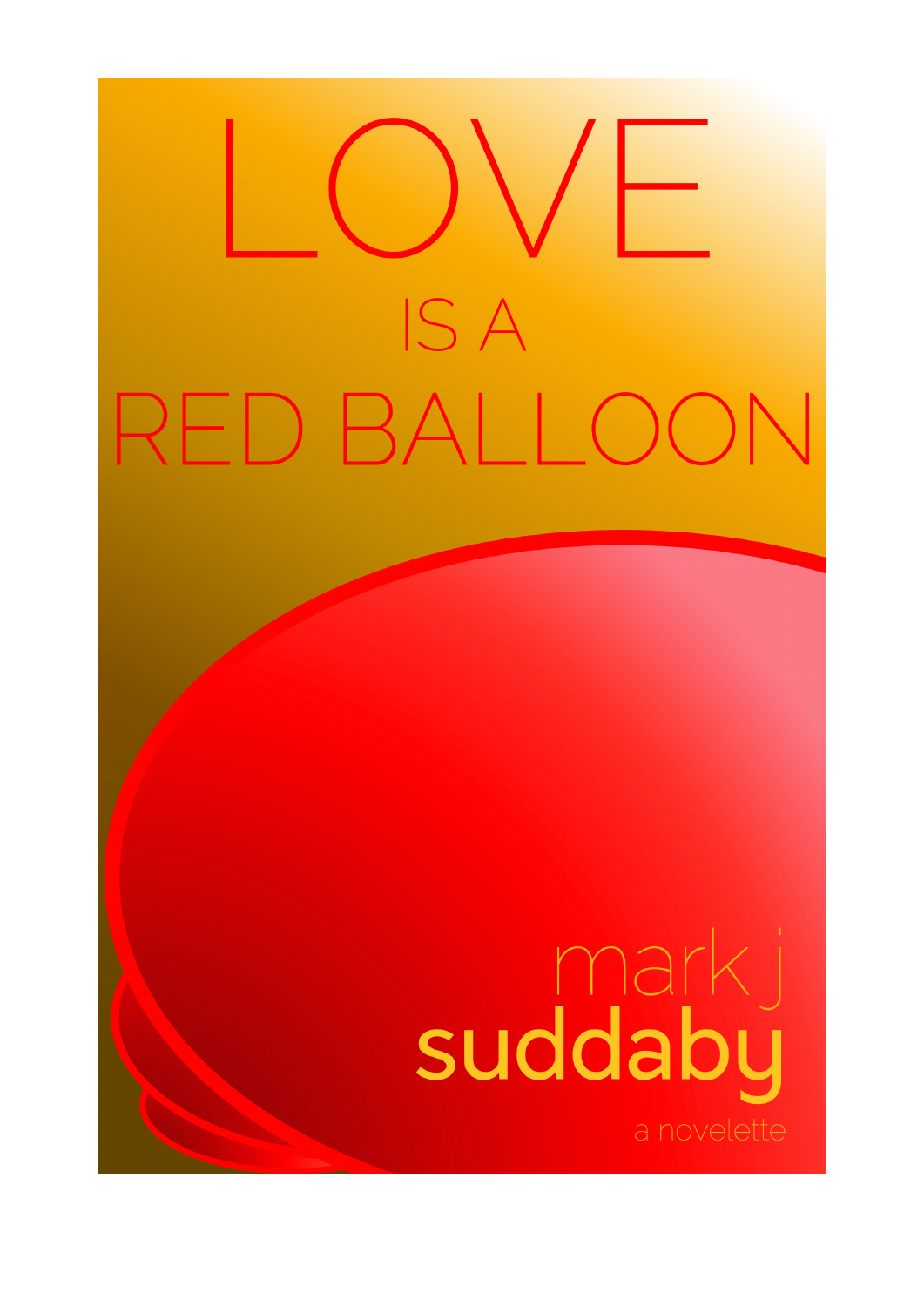# **ISA** RED BALLOON

## suddaby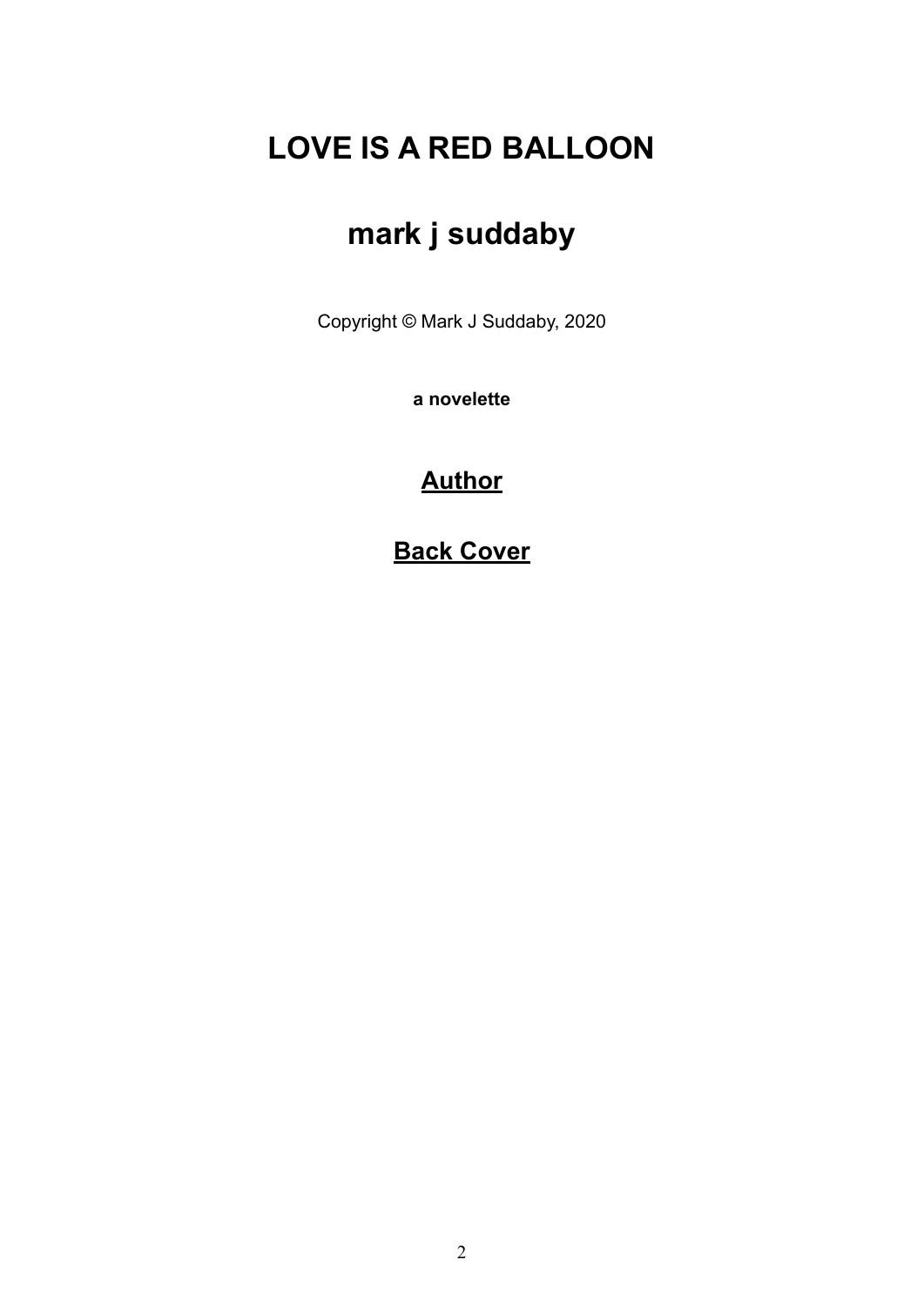### **LOVE IS A RED BALLOON**

## **mark j suddaby**

Copyright © Mark J Suddaby, 2020

**a novelette**

#### **[Author](#page-11-0)**

**[Back Cover](#page-12-0)**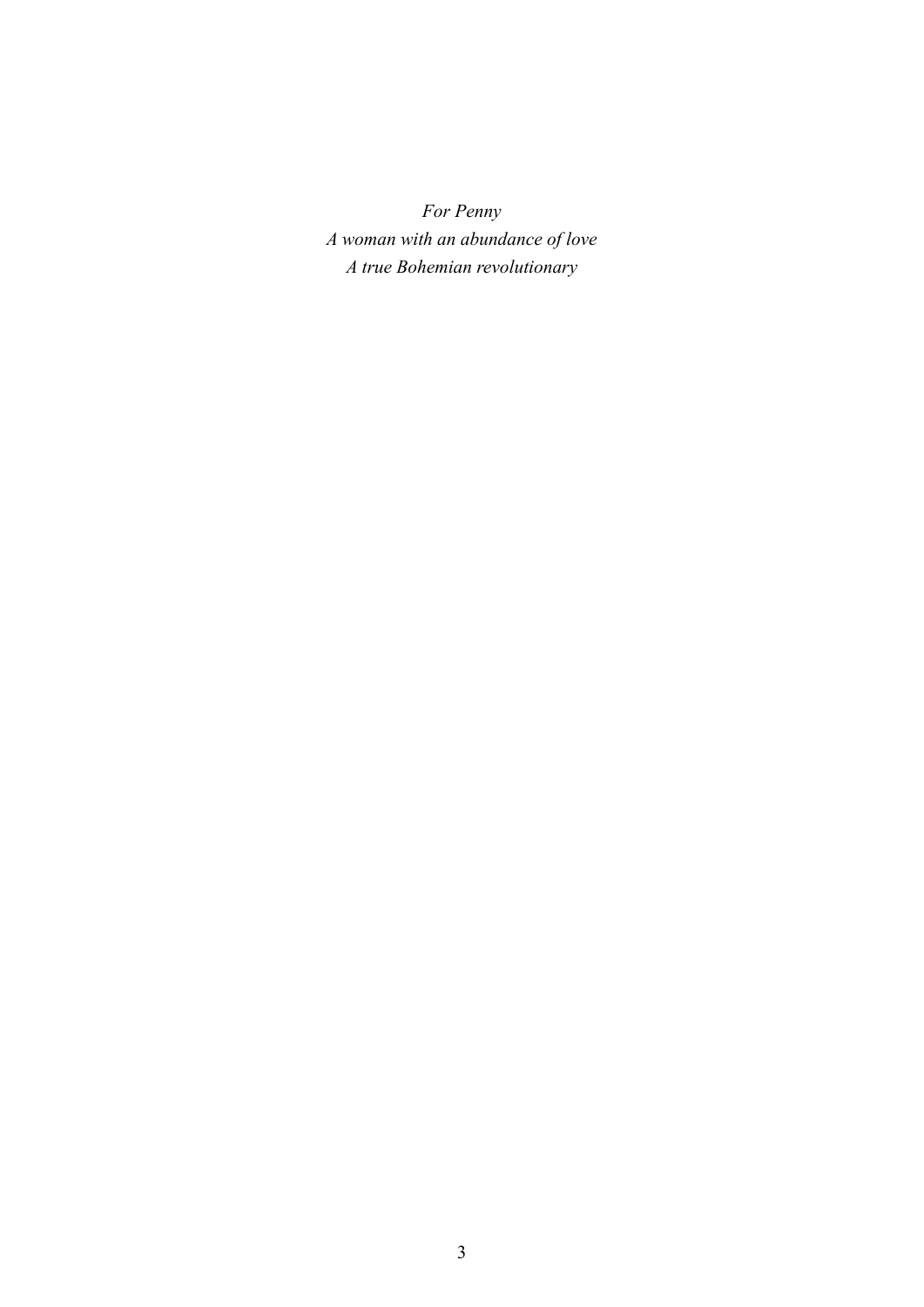*For Penny A woman with an abundance of love A true Bohemian revolutionary*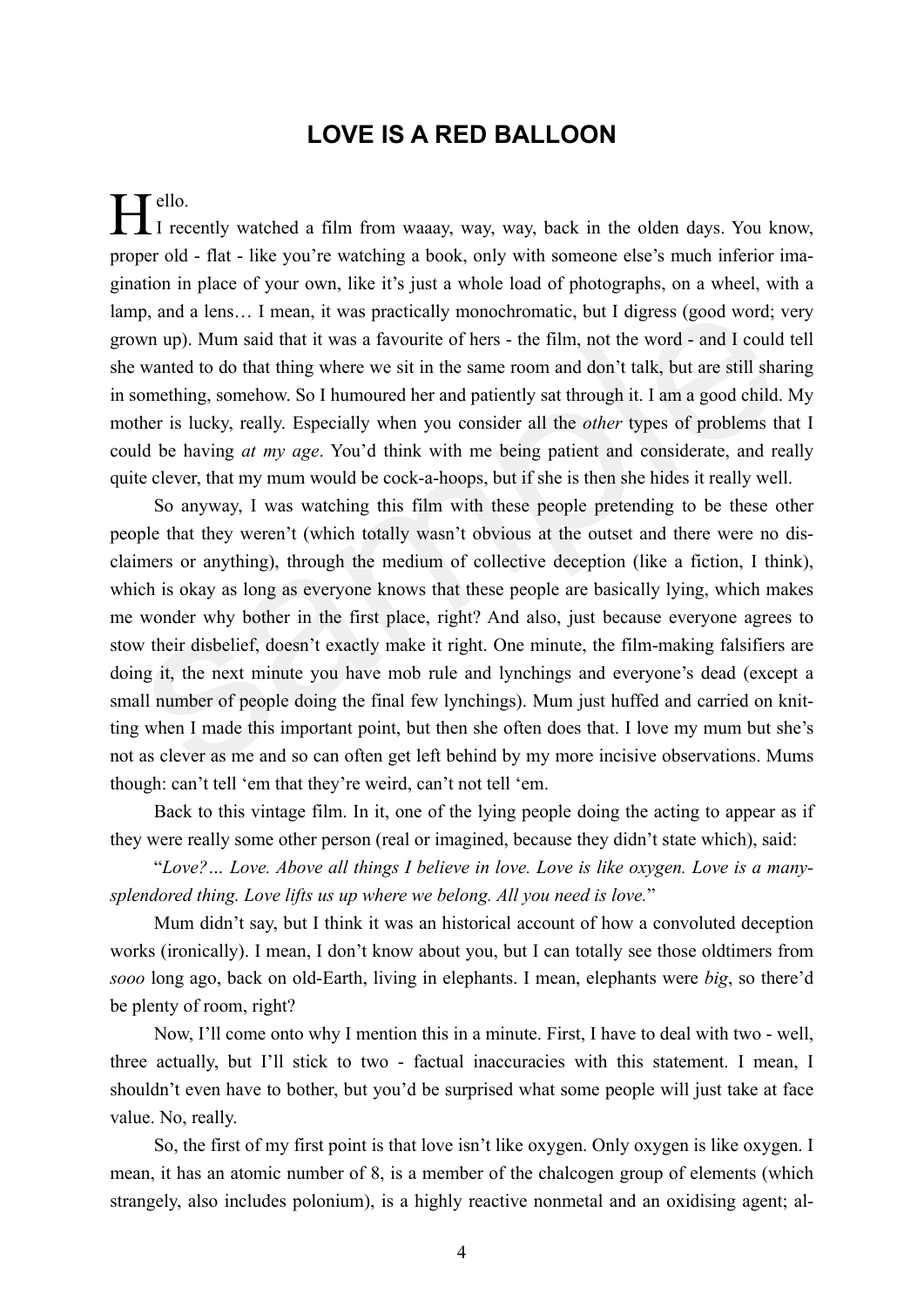#### **LOVE IS A RED BALLOON**

 $\mathsf{T}$  ello. I recently watched a film from waaay, way, way, back in the olden days. You know, proper old - flat - like you're watching a book, only with someone else's much inferior imagination in place of your own, like it's just a whole load of photographs, on a wheel, with a lamp, and a lens… I mean, it was practically monochromatic, but I digress (good word; very grown up). Mum said that it was a favourite of hers - the film, not the word - and I could tell she wanted to do that thing where we sit in the same room and don't talk, but are still sharing in something, somehow. So I humoured her and patiently sat through it. I am a good child. My mother is lucky, really. Especially when you consider all the *other* types of problems that I could be having *at my age*. You'd think with me being patient and considerate, and really quite clever, that my mum would be cock-a-hoops, but if she is then she hides it really well.

So anyway, I was watching this film with these people pretending to be these other people that they weren't (which totally wasn't obvious at the outset and there were no disclaimers or anything), through the medium of collective deception (like a fiction, I think), which is okay as long as everyone knows that these people are basically lying, which makes me wonder why bother in the first place, right? And also, just because everyone agrees to stow their disbelief, doesn't exactly make it right. One minute, the film-making falsifiers are doing it, the next minute you have mob rule and lynchings and everyone's dead (except a small number of people doing the final few lynchings). Mum just huffed and carried on knitting when I made this important point, but then she often does that. I love my mum but she's not as clever as me and so can often get left behind by my more incisive observations. Mums though: can't tell 'em that they're weird, can't not tell 'em. p, and a lens... I mean, it was practically monochromatic, but I digress (good word; v, w, up). Mum said that it was a favourite of hers - the film, not the word - and I could wanted to do that thing where we sit in the s

Back to this vintage film. In it, one of the lying people doing the acting to appear as if they were really some other person (real or imagined, because they didn't state which), said:

"*Love?… Love. Above all things I believe in love. Love is like oxygen. Love is a manysplendored thing. Love lifts us up where we belong. All you need is love.*"

Mum didn't say, but I think it was an historical account of how a convoluted deception works (ironically). I mean, I don't know about you, but I can totally see those oldtimers from *sooo* long ago, back on old-Earth, living in elephants. I mean, elephants were *big*, so there'd be plenty of room, right?

Now, I'll come onto why I mention this in a minute. First, I have to deal with two - well, three actually, but I'll stick to two - factual inaccuracies with this statement. I mean, I shouldn't even have to bother, but you'd be surprised what some people will just take at face value. No, really.

So, the first of my first point is that love isn't like oxygen. Only oxygen is like oxygen. I mean, it has an atomic number of 8, is a member of the chalcogen group of elements (which strangely, also includes polonium), is a highly reactive nonmetal and an oxidising agent; al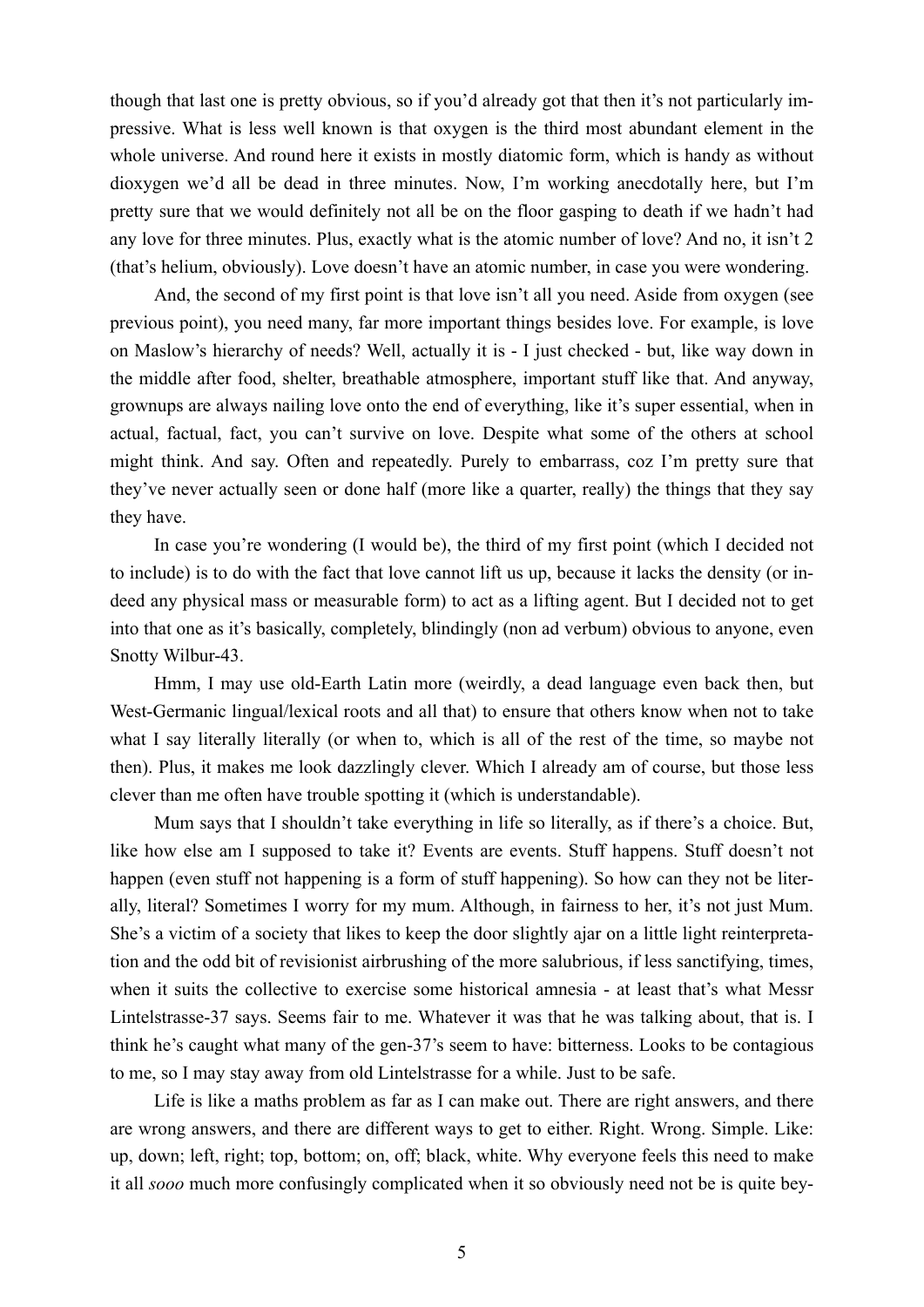though that last one is pretty obvious, so if you'd already got that then it's not particularly impressive. What is less well known is that oxygen is the third most abundant element in the whole universe. And round here it exists in mostly diatomic form, which is handy as without dioxygen we'd all be dead in three minutes. Now, I'm working anecdotally here, but I'm pretty sure that we would definitely not all be on the floor gasping to death if we hadn't had any love for three minutes. Plus, exactly what is the atomic number of love? And no, it isn't 2 (that's helium, obviously). Love doesn't have an atomic number, in case you were wondering.

And, the second of my first point is that love isn't all you need. Aside from oxygen (see previous point), you need many, far more important things besides love. For example, is love on Maslow's hierarchy of needs? Well, actually it is - I just checked - but, like way down in the middle after food, shelter, breathable atmosphere, important stuff like that. And anyway, grownups are always nailing love onto the end of everything, like it's super essential, when in actual, factual, fact, you can't survive on love. Despite what some of the others at school might think. And say. Often and repeatedly. Purely to embarrass, coz I'm pretty sure that they've never actually seen or done half (more like a quarter, really) the things that they say they have.

In case you're wondering (I would be), the third of my first point (which I decided not to include) is to do with the fact that love cannot lift us up, because it lacks the density (or indeed any physical mass or measurable form) to act as a lifting agent. But I decided not to get into that one as it's basically, completely, blindingly (non ad verbum) obvious to anyone, even Snotty Wilbur-43.

Hmm, I may use old-Earth Latin more (weirdly, a dead language even back then, but West-Germanic lingual/lexical roots and all that) to ensure that others know when not to take what I say literally literally (or when to, which is all of the rest of the time, so maybe not then). Plus, it makes me look dazzlingly clever. Which I already am of course, but those less clever than me often have trouble spotting it (which is understandable).

Mum says that I shouldn't take everything in life so literally, as if there's a choice. But, like how else am I supposed to take it? Events are events. Stuff happens. Stuff doesn't not happen (even stuff not happening is a form of stuff happening). So how can they not be literally, literal? Sometimes I worry for my mum. Although, in fairness to her, it's not just Mum. She's a victim of a society that likes to keep the door slightly ajar on a little light reinterpretation and the odd bit of revisionist airbrushing of the more salubrious, if less sanctifying, times, when it suits the collective to exercise some historical amnesia - at least that's what Messr Lintelstrasse-37 says. Seems fair to me. Whatever it was that he was talking about, that is. I think he's caught what many of the gen-37's seem to have: bitterness. Looks to be contagious to me, so I may stay away from old Lintelstrasse for a while. Just to be safe.

Life is like a maths problem as far as I can make out. There are right answers, and there are wrong answers, and there are different ways to get to either. Right. Wrong. Simple. Like: up, down; left, right; top, bottom; on, off; black, white. Why everyone feels this need to make it all *sooo* much more confusingly complicated when it so obviously need not be is quite bey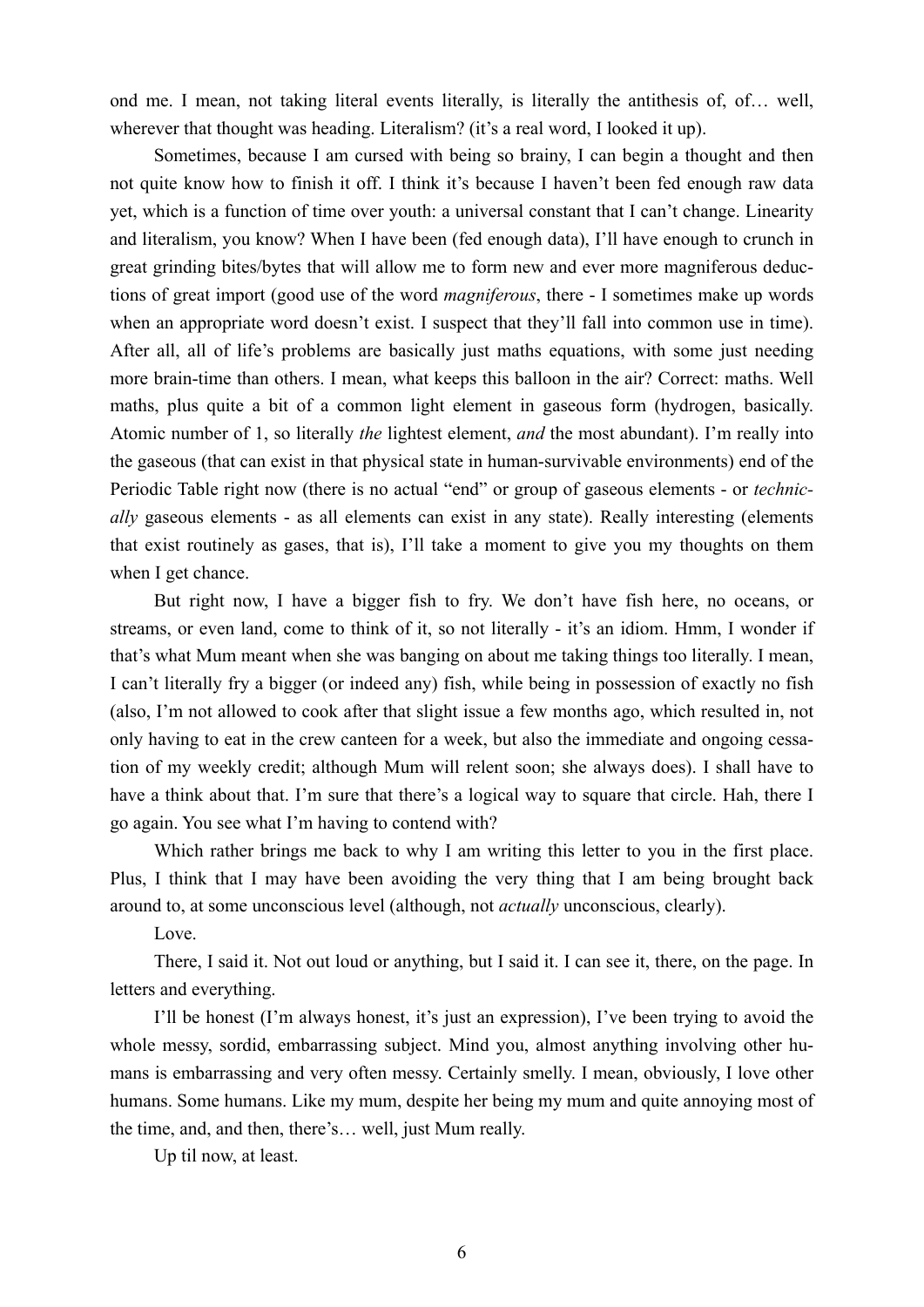ond me. I mean, not taking literal events literally, is literally the antithesis of, of… well, wherever that thought was heading. Literalism? (it's a real word, I looked it up).

Sometimes, because I am cursed with being so brainy, I can begin a thought and then not quite know how to finish it off. I think it's because I haven't been fed enough raw data yet, which is a function of time over youth: a universal constant that I can't change. Linearity and literalism, you know? When I have been (fed enough data), I'll have enough to crunch in great grinding bites/bytes that will allow me to form new and ever more magniferous deductions of great import (good use of the word *magniferous*, there - I sometimes make up words when an appropriate word doesn't exist. I suspect that they'll fall into common use in time). After all, all of life's problems are basically just maths equations, with some just needing more brain-time than others. I mean, what keeps this balloon in the air? Correct: maths. Well maths, plus quite a bit of a common light element in gaseous form (hydrogen, basically. Atomic number of 1, so literally *the* lightest element, *and* the most abundant). I'm really into the gaseous (that can exist in that physical state in human-survivable environments) end of the Periodic Table right now (there is no actual "end" or group of gaseous elements - or *technically* gaseous elements - as all elements can exist in any state). Really interesting (elements that exist routinely as gases, that is), I'll take a moment to give you my thoughts on them when I get chance.

But right now, I have a bigger fish to fry. We don't have fish here, no oceans, or streams, or even land, come to think of it, so not literally - it's an idiom. Hmm, I wonder if that's what Mum meant when she was banging on about me taking things too literally. I mean, I can't literally fry a bigger (or indeed any) fish, while being in possession of exactly no fish (also, I'm not allowed to cook after that slight issue a few months ago, which resulted in, not only having to eat in the crew canteen for a week, but also the immediate and ongoing cessation of my weekly credit; although Mum will relent soon; she always does). I shall have to have a think about that. I'm sure that there's a logical way to square that circle. Hah, there I go again. You see what I'm having to contend with?

Which rather brings me back to why I am writing this letter to you in the first place. Plus, I think that I may have been avoiding the very thing that I am being brought back around to, at some unconscious level (although, not *actually* unconscious, clearly).

Love.

There, I said it. Not out loud or anything, but I said it. I can see it, there, on the page. In letters and everything.

I'll be honest (I'm always honest, it's just an expression), I've been trying to avoid the whole messy, sordid, embarrassing subject. Mind you, almost anything involving other humans is embarrassing and very often messy. Certainly smelly. I mean, obviously, I love other humans. Some humans. Like my mum, despite her being my mum and quite annoying most of the time, and, and then, there's… well, just Mum really.

Up til now, at least.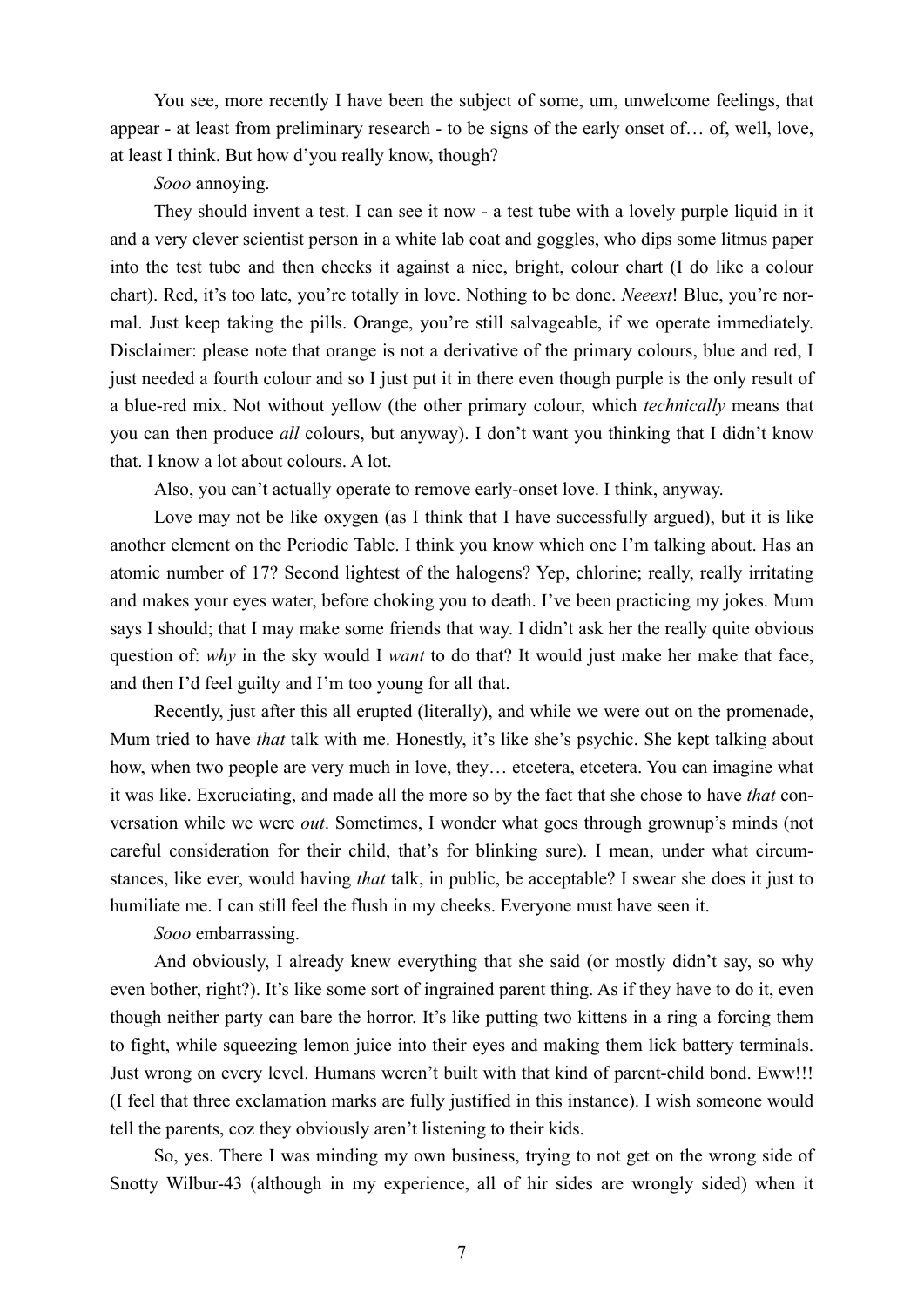You see, more recently I have been the subject of some, um, unwelcome feelings, that appear - at least from preliminary research - to be signs of the early onset of… of, well, love, at least I think. But how d'you really know, though?

#### *Sooo* annoying.

They should invent a test. I can see it now - a test tube with a lovely purple liquid in it and a very clever scientist person in a white lab coat and goggles, who dips some litmus paper into the test tube and then checks it against a nice, bright, colour chart (I do like a colour chart). Red, it's too late, you're totally in love. Nothing to be done. *Neeext*! Blue, you're normal. Just keep taking the pills. Orange, you're still salvageable, if we operate immediately. Disclaimer: please note that orange is not a derivative of the primary colours, blue and red, I just needed a fourth colour and so I just put it in there even though purple is the only result of a blue-red mix. Not without yellow (the other primary colour, which *technically* means that you can then produce *all* colours, but anyway). I don't want you thinking that I didn't know that. I know a lot about colours. A lot.

Also, you can't actually operate to remove early-onset love. I think, anyway.

Love may not be like oxygen (as I think that I have successfully argued), but it is like another element on the Periodic Table. I think you know which one I'm talking about. Has an atomic number of 17? Second lightest of the halogens? Yep, chlorine; really, really irritating and makes your eyes water, before choking you to death. I've been practicing my jokes. Mum says I should; that I may make some friends that way. I didn't ask her the really quite obvious question of: *why* in the sky would I *want* to do that? It would just make her make that face, and then I'd feel guilty and I'm too young for all that.

Recently, just after this all erupted (literally), and while we were out on the promenade, Mum tried to have *that* talk with me. Honestly, it's like she's psychic. She kept talking about how, when two people are very much in love, they… etcetera, etcetera. You can imagine what it was like. Excruciating, and made all the more so by the fact that she chose to have *that* conversation while we were *out*. Sometimes, I wonder what goes through grownup's minds (not careful consideration for their child, that's for blinking sure). I mean, under what circumstances, like ever, would having *that* talk, in public, be acceptable? I swear she does it just to humiliate me. I can still feel the flush in my cheeks. Everyone must have seen it.

*Sooo* embarrassing.

And obviously, I already knew everything that she said (or mostly didn't say, so why even bother, right?). It's like some sort of ingrained parent thing. As if they have to do it, even though neither party can bare the horror. It's like putting two kittens in a ring a forcing them to fight, while squeezing lemon juice into their eyes and making them lick battery terminals. Just wrong on every level. Humans weren't built with that kind of parent-child bond. Eww!!! (I feel that three exclamation marks are fully justified in this instance). I wish someone would tell the parents, coz they obviously aren't listening to their kids.

So, yes. There I was minding my own business, trying to not get on the wrong side of Snotty Wilbur-43 (although in my experience, all of hir sides are wrongly sided) when it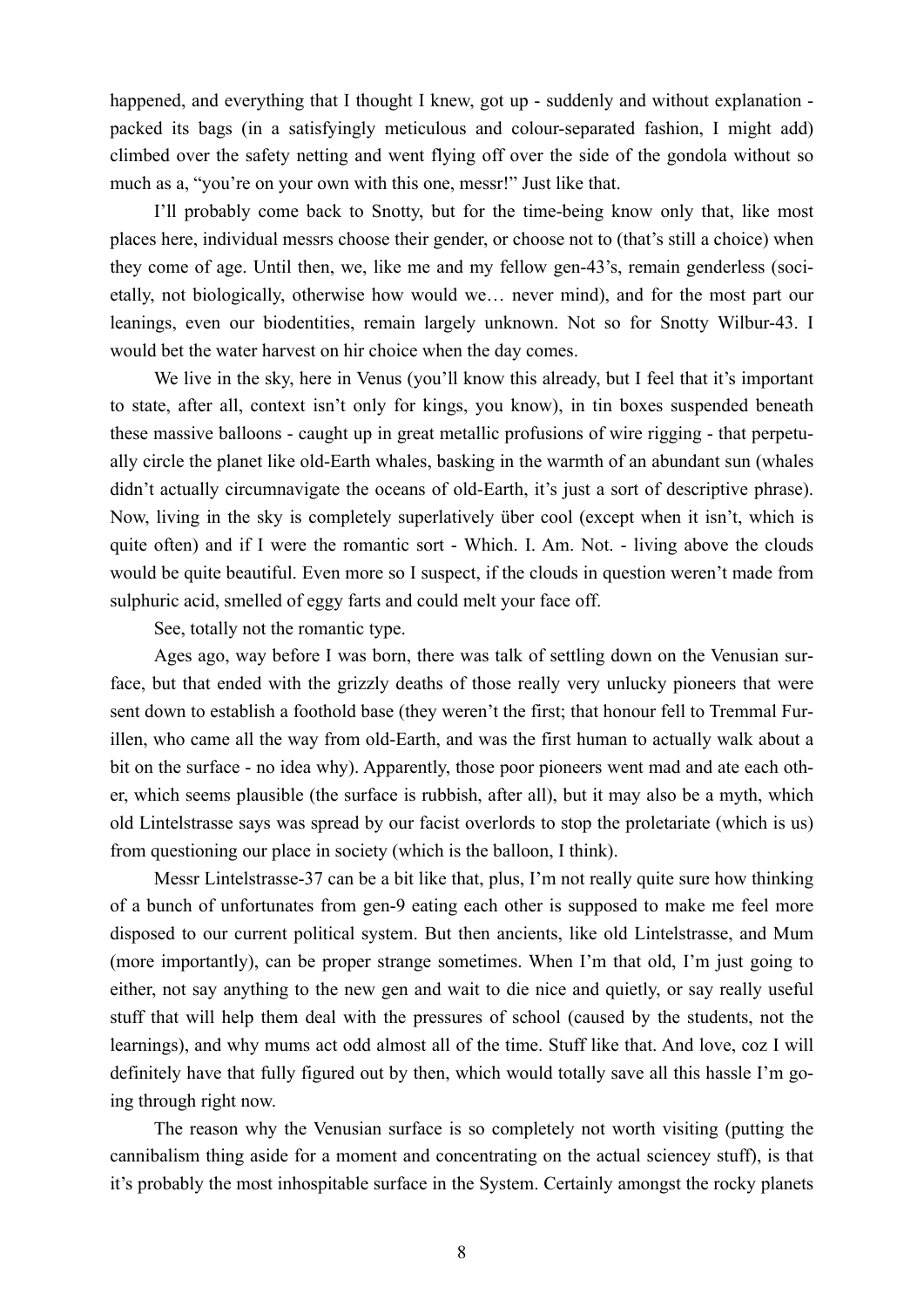happened, and everything that I thought I knew, got up - suddenly and without explanation packed its bags (in a satisfyingly meticulous and colour-separated fashion, I might add) climbed over the safety netting and went flying off over the side of the gondola without so much as a, "you're on your own with this one, messr!" Just like that.

I'll probably come back to Snotty, but for the time-being know only that, like most places here, individual messrs choose their gender, or choose not to (that's still a choice) when they come of age. Until then, we, like me and my fellow gen-43's, remain genderless (societally, not biologically, otherwise how would we… never mind), and for the most part our leanings, even our biodentities, remain largely unknown. Not so for Snotty Wilbur-43. I would bet the water harvest on hir choice when the day comes.

We live in the sky, here in Venus (you'll know this already, but I feel that it's important to state, after all, context isn't only for kings, you know), in tin boxes suspended beneath these massive balloons - caught up in great metallic profusions of wire rigging - that perpetually circle the planet like old-Earth whales, basking in the warmth of an abundant sun (whales didn't actually circumnavigate the oceans of old-Earth, it's just a sort of descriptive phrase). Now, living in the sky is completely superlatively über cool (except when it isn't, which is quite often) and if I were the romantic sort - Which. I. Am. Not. - living above the clouds would be quite beautiful. Even more so I suspect, if the clouds in question weren't made from sulphuric acid, smelled of eggy farts and could melt your face off.

See, totally not the romantic type.

Ages ago, way before I was born, there was talk of settling down on the Venusian surface, but that ended with the grizzly deaths of those really very unlucky pioneers that were sent down to establish a foothold base (they weren't the first; that honour fell to Tremmal Furillen, who came all the way from old-Earth, and was the first human to actually walk about a bit on the surface - no idea why). Apparently, those poor pioneers went mad and ate each other, which seems plausible (the surface is rubbish, after all), but it may also be a myth, which old Lintelstrasse says was spread by our facist overlords to stop the proletariate (which is us) from questioning our place in society (which is the balloon, I think).

Messr Lintelstrasse-37 can be a bit like that, plus, I'm not really quite sure how thinking of a bunch of unfortunates from gen-9 eating each other is supposed to make me feel more disposed to our current political system. But then ancients, like old Lintelstrasse, and Mum (more importantly), can be proper strange sometimes. When I'm that old, I'm just going to either, not say anything to the new gen and wait to die nice and quietly, or say really useful stuff that will help them deal with the pressures of school (caused by the students, not the learnings), and why mums act odd almost all of the time. Stuff like that. And love, coz I will definitely have that fully figured out by then, which would totally save all this hassle I'm going through right now.

The reason why the Venusian surface is so completely not worth visiting (putting the cannibalism thing aside for a moment and concentrating on the actual sciencey stuff), is that it's probably the most inhospitable surface in the System. Certainly amongst the rocky planets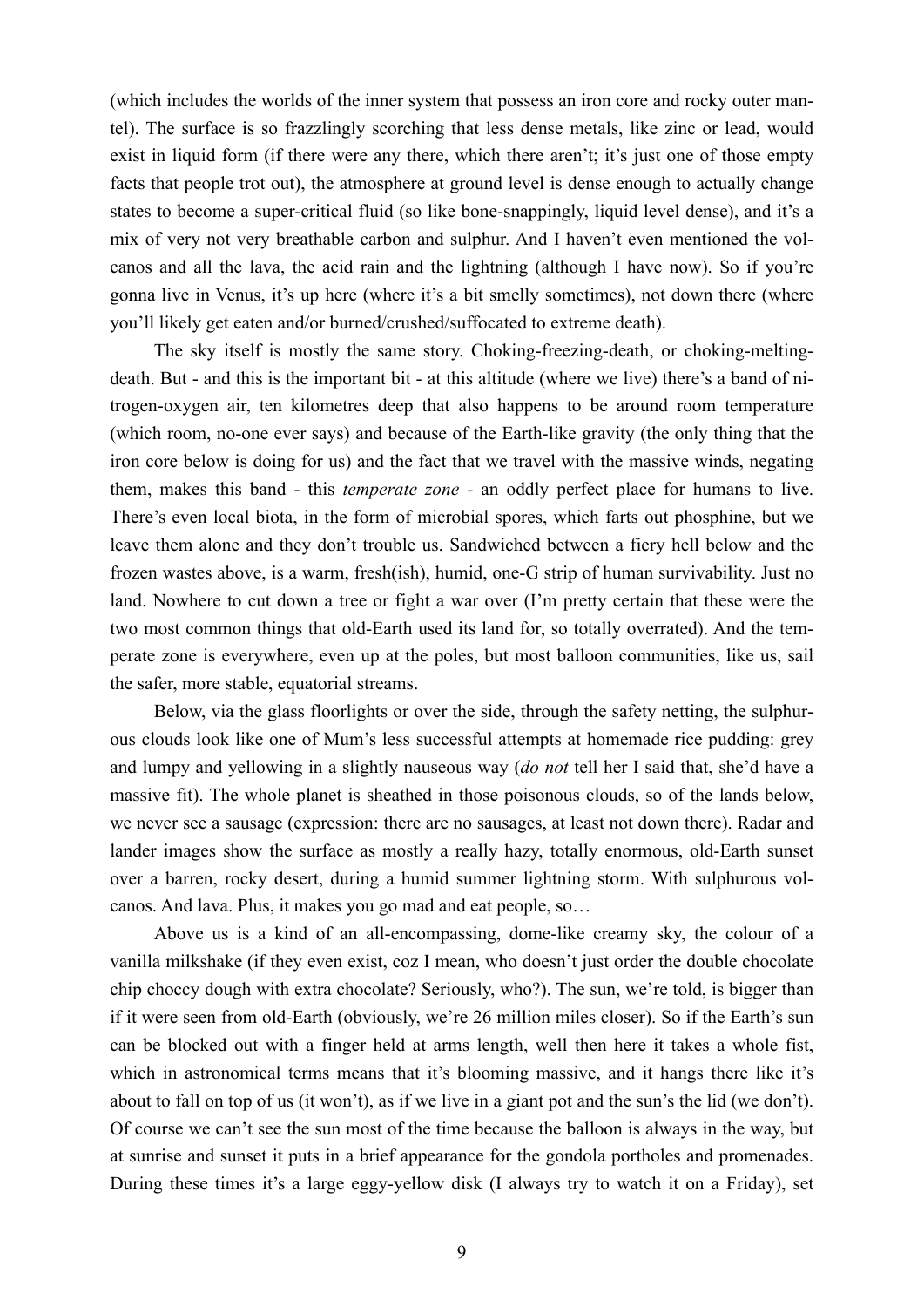(which includes the worlds of the inner system that possess an iron core and rocky outer mantel). The surface is so frazzlingly scorching that less dense metals, like zinc or lead, would exist in liquid form (if there were any there, which there aren't; it's just one of those empty facts that people trot out), the atmosphere at ground level is dense enough to actually change states to become a super-critical fluid (so like bone-snappingly, liquid level dense), and it's a mix of very not very breathable carbon and sulphur. And I haven't even mentioned the volcanos and all the lava, the acid rain and the lightning (although I have now). So if you're gonna live in Venus, it's up here (where it's a bit smelly sometimes), not down there (where you'll likely get eaten and/or burned/crushed/suffocated to extreme death).

The sky itself is mostly the same story. Choking-freezing-death, or choking-meltingdeath. But - and this is the important bit - at this altitude (where we live) there's a band of nitrogen-oxygen air, ten kilometres deep that also happens to be around room temperature (which room, no-one ever says) and because of the Earth-like gravity (the only thing that the iron core below is doing for us) and the fact that we travel with the massive winds, negating them, makes this band - this *temperate zone -* an oddly perfect place for humans to live. There's even local biota, in the form of microbial spores, which farts out phosphine, but we leave them alone and they don't trouble us. Sandwiched between a fiery hell below and the frozen wastes above, is a warm, fresh(ish), humid, one-G strip of human survivability. Just no land. Nowhere to cut down a tree or fight a war over (I'm pretty certain that these were the two most common things that old-Earth used its land for, so totally overrated). And the temperate zone is everywhere, even up at the poles, but most balloon communities, like us, sail the safer, more stable, equatorial streams.

Below, via the glass floorlights or over the side, through the safety netting, the sulphurous clouds look like one of Mum's less successful attempts at homemade rice pudding: grey and lumpy and yellowing in a slightly nauseous way (*do not* tell her I said that, she'd have a massive fit). The whole planet is sheathed in those poisonous clouds, so of the lands below, we never see a sausage (expression: there are no sausages, at least not down there). Radar and lander images show the surface as mostly a really hazy, totally enormous, old-Earth sunset over a barren, rocky desert, during a humid summer lightning storm. With sulphurous volcanos. And lava. Plus, it makes you go mad and eat people, so…

Above us is a kind of an all-encompassing, dome-like creamy sky, the colour of a vanilla milkshake (if they even exist, coz I mean, who doesn't just order the double chocolate chip choccy dough with extra chocolate? Seriously, who?). The sun, we're told, is bigger than if it were seen from old-Earth (obviously, we're 26 million miles closer). So if the Earth's sun can be blocked out with a finger held at arms length, well then here it takes a whole fist, which in astronomical terms means that it's blooming massive, and it hangs there like it's about to fall on top of us (it won't), as if we live in a giant pot and the sun's the lid (we don't). Of course we can't see the sun most of the time because the balloon is always in the way, but at sunrise and sunset it puts in a brief appearance for the gondola portholes and promenades. During these times it's a large eggy-yellow disk (I always try to watch it on a Friday), set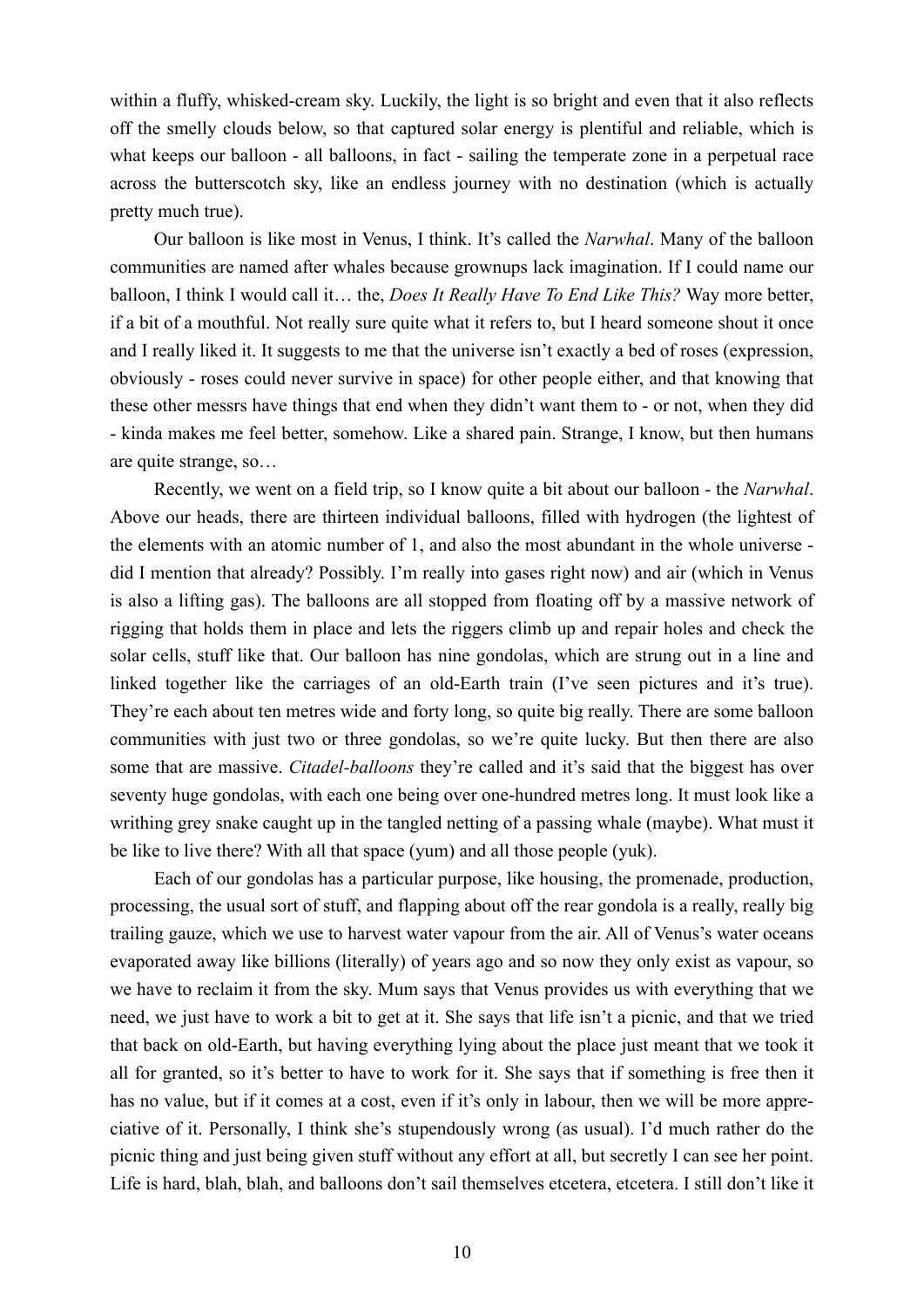within a fluffy, whisked-cream sky. Luckily, the light is so bright and even that it also reflects off the smelly clouds below, so that captured solar energy is plentiful and reliable, which is what keeps our balloon - all balloons, in fact - sailing the temperate zone in a perpetual race across the butterscotch sky, like an endless journey with no destination (which is actually pretty much true).

Our balloon is like most in Venus, I think. It's called the *Narwhal*. Many of the balloon communities are named after whales because grownups lack imagination. If I could name our balloon, I think I would call it… the, *Does It Really Have To End Like This?* Way more better, if a bit of a mouthful. Not really sure quite what it refers to, but I heard someone shout it once and I really liked it. It suggests to me that the universe isn't exactly a bed of roses (expression, obviously - roses could never survive in space) for other people either, and that knowing that these other messrs have things that end when they didn't want them to - or not, when they did - kinda makes me feel better, somehow. Like a shared pain. Strange, I know, but then humans are quite strange, so…

Recently, we went on a field trip, so I know quite a bit about our balloon - the *Narwhal*. Above our heads, there are thirteen individual balloons, filled with hydrogen (the lightest of the elements with an atomic number of 1, and also the most abundant in the whole universe did I mention that already? Possibly. I'm really into gases right now) and air (which in Venus is also a lifting gas). The balloons are all stopped from floating off by a massive network of rigging that holds them in place and lets the riggers climb up and repair holes and check the solar cells, stuff like that. Our balloon has nine gondolas, which are strung out in a line and linked together like the carriages of an old-Earth train (I've seen pictures and it's true). They're each about ten metres wide and forty long, so quite big really. There are some balloon communities with just two or three gondolas, so we're quite lucky. But then there are also some that are massive. *Citadel-balloons* they're called and it's said that the biggest has over seventy huge gondolas, with each one being over one-hundred metres long. It must look like a writhing grey snake caught up in the tangled netting of a passing whale (maybe). What must it be like to live there? With all that space (yum) and all those people (yuk).

Each of our gondolas has a particular purpose, like housing, the promenade, production, processing, the usual sort of stuff, and flapping about off the rear gondola is a really, really big trailing gauze, which we use to harvest water vapour from the air. All of Venus's water oceans evaporated away like billions (literally) of years ago and so now they only exist as vapour, so we have to reclaim it from the sky. Mum says that Venus provides us with everything that we need, we just have to work a bit to get at it. She says that life isn't a picnic, and that we tried that back on old-Earth, but having everything lying about the place just meant that we took it all for granted, so it's better to have to work for it. She says that if something is free then it has no value, but if it comes at a cost, even if it's only in labour, then we will be more appreciative of it. Personally, I think she's stupendously wrong (as usual). I'd much rather do the picnic thing and just being given stuff without any effort at all, but secretly I can see her point. Life is hard, blah, blah, and balloons don't sail themselves etcetera, etcetera. I still don't like it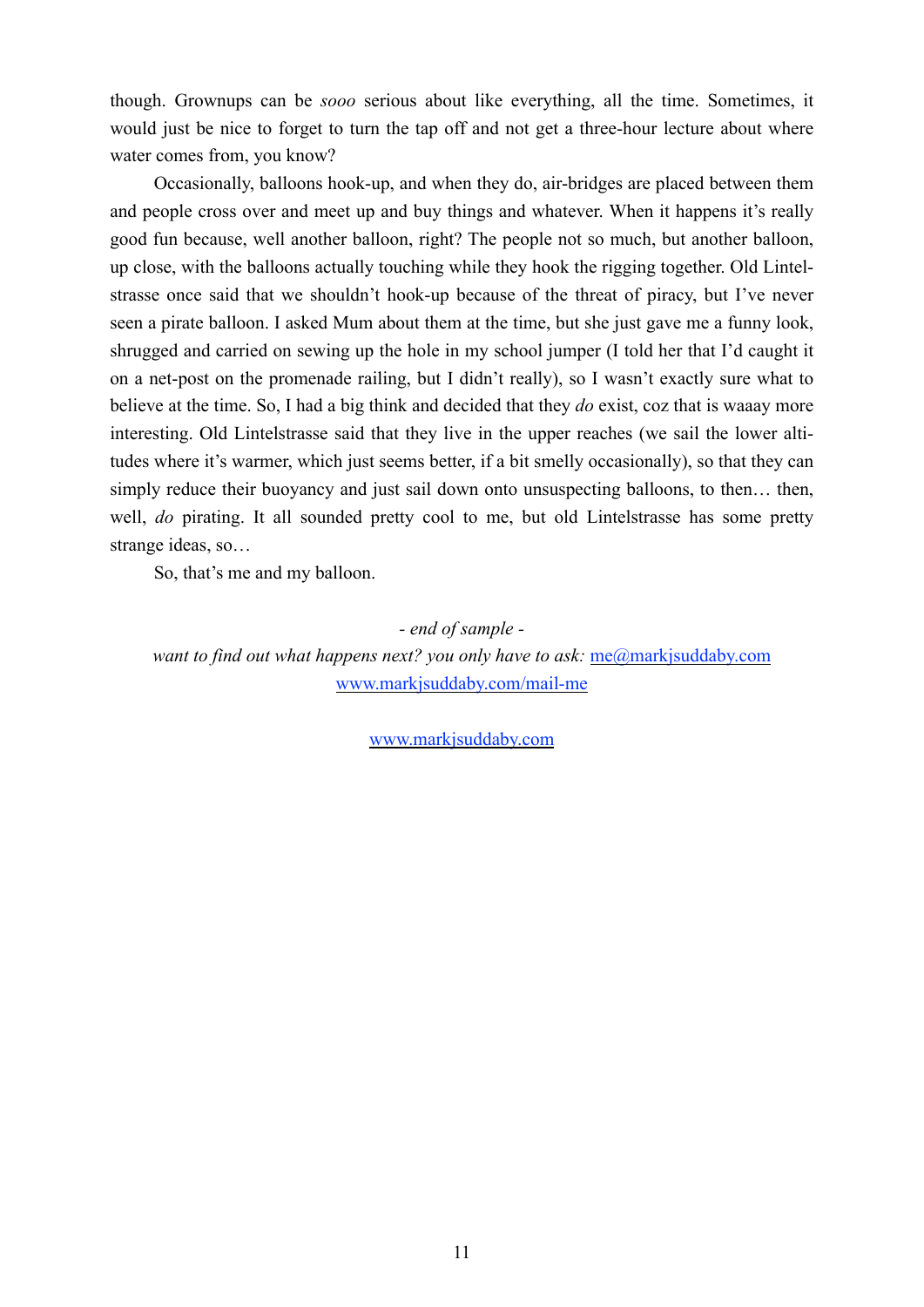though. Grownups can be *sooo* serious about like everything, all the time. Sometimes, it would just be nice to forget to turn the tap off and not get a three-hour lecture about where water comes from, you know?

Occasionally, balloons hook-up, and when they do, air-bridges are placed between them and people cross over and meet up and buy things and whatever. When it happens it's really good fun because, well another balloon, right? The people not so much, but another balloon, up close, with the balloons actually touching while they hook the rigging together. Old Lintelstrasse once said that we shouldn't hook-up because of the threat of piracy, but I've never seen a pirate balloon. I asked Mum about them at the time, but she just gave me a funny look, shrugged and carried on sewing up the hole in my school jumper (I told her that I'd caught it on a net-post on the promenade railing, but I didn't really), so I wasn't exactly sure what to believe at the time. So, I had a big think and decided that they *do* exist, coz that is waaay more interesting. Old Lintelstrasse said that they live in the upper reaches (we sail the lower altitudes where it's warmer, which just seems better, if a bit smelly occasionally), so that they can simply reduce their buoyancy and just sail down onto unsuspecting balloons, to then… then, well, *do* pirating. It all sounded pretty cool to me, but old Lintelstrasse has some pretty strange ideas, so…

So, that's me and my balloon.

*- end of sample want to find out what happens next? you only have to ask:*  $me@mark$ *jsuddaby.com* [www.markjsuddaby.com/mail-me](http://www.markjsuddaby.com/mail-me)

[www.markjsuddaby.com](http://www.markjsuddaby.com)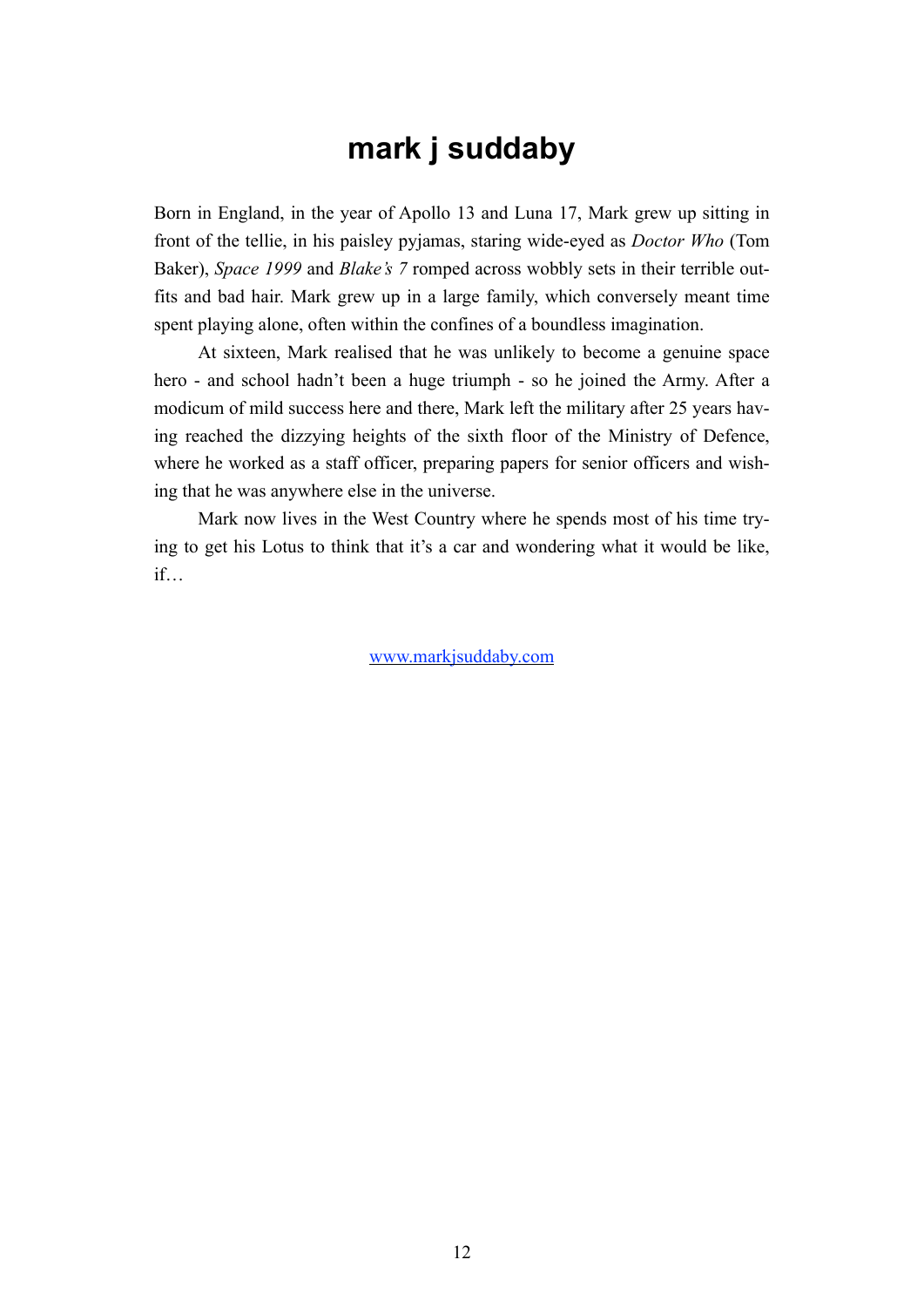#### <span id="page-11-0"></span>**mark j suddaby**

Born in England, in the year of Apollo 13 and Luna 17, Mark grew up sitting in front of the tellie, in his paisley pyjamas, staring wide-eyed as *Doctor Who* (Tom Baker), *Space 1999* and *Blake's 7* romped across wobbly sets in their terrible outfits and bad hair. Mark grew up in a large family, which conversely meant time spent playing alone, often within the confines of a boundless imagination.

At sixteen, Mark realised that he was unlikely to become a genuine space hero - and school hadn't been a huge triumph - so he joined the Army. After a modicum of mild success here and there, Mark left the military after 25 years having reached the dizzying heights of the sixth floor of the Ministry of Defence, where he worked as a staff officer, preparing papers for senior officers and wishing that he was anywhere else in the universe.

Mark now lives in the West Country where he spends most of his time trying to get his Lotus to think that it's a car and wondering what it would be like, if…

[www.markjsuddaby.com](http://www.markjsuddaby.com)